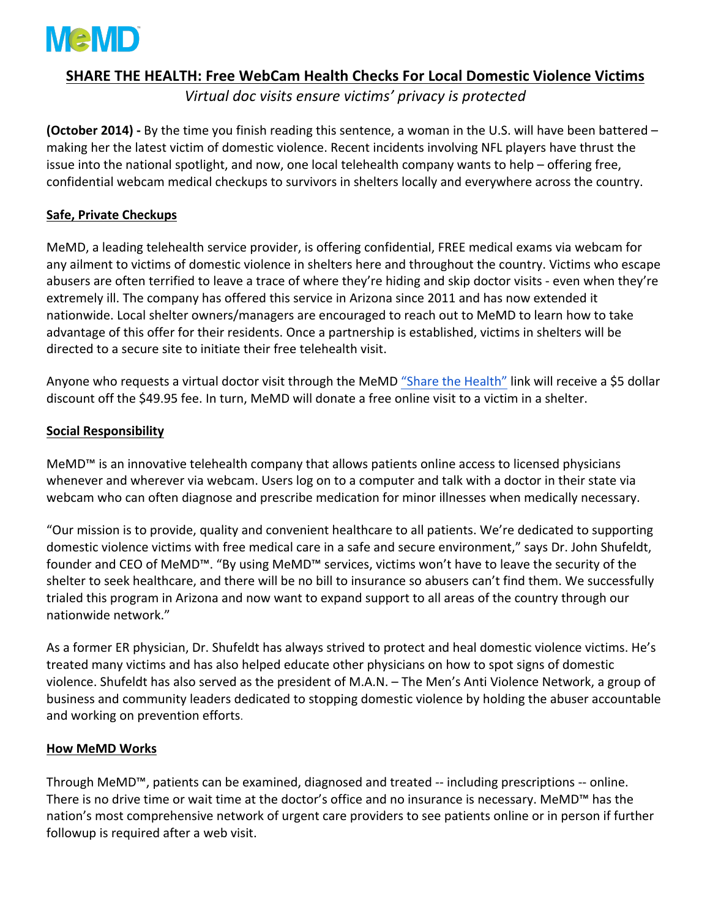

# **SHARE THE HEALTH: Free WebCam Health Checks For Local Domestic Violence Victims**

Virtual doc visits ensure victims' privacy is protected

**(October 2014)** - By the time you finish reading this sentence, a woman in the U.S. will have been battered – making her the latest victim of domestic violence. Recent incidents involving NFL players have thrust the issue into the national spotlight, and now, one local telehealth company wants to help  $-$  offering free, confidential webcam medical checkups to survivors in shelters locally and everywhere across the country.

## **Safe, Private Checkups**

MeMD, a leading telehealth service provider, is offering confidential, FREE medical exams via webcam for any ailment to victims of domestic violence in shelters here and throughout the country. Victims who escape abusers are often terrified to leave a trace of where they're hiding and skip doctor visits - even when they're extremely ill. The company has offered this service in Arizona since 2011 and has now extended it nationwide. Local shelter owners/managers are encouraged to reach out to MeMD to learn how to take advantage of this offer for their residents. Once a partnership is established, victims in shelters will be directed to a secure site to initiate their free telehealth visit.

Anyone who requests a virtual doctor visit through the MeMD "Share the Health" link will receive a \$5 dollar discount off the \$49.95 fee. In turn, MeMD will donate a free online visit to a victim in a shelter.

#### **Social Responsibility**

MeMD $M$  is an innovative telehealth company that allows patients online access to licensed physicians whenever and wherever via webcam. Users log on to a computer and talk with a doctor in their state via webcam who can often diagnose and prescribe medication for minor illnesses when medically necessary.

"Our mission is to provide, quality and convenient healthcare to all patients. We're dedicated to supporting domestic violence victims with free medical care in a safe and secure environment," says Dr. John Shufeldt, founder and CEO of MeMD™. "By using MeMD™ services, victims won't have to leave the security of the shelter to seek healthcare, and there will be no bill to insurance so abusers can't find them. We successfully trialed this program in Arizona and now want to expand support to all areas of the country through our nationwide network."

As a former ER physician, Dr. Shufeldt has always strived to protect and heal domestic violence victims. He's treated many victims and has also helped educate other physicians on how to spot signs of domestic violence. Shufeldt has also served as the president of M.A.N. – The Men's Anti Violence Network, a group of business and community leaders dedicated to stopping domestic violence by holding the abuser accountable and working on prevention efforts.

#### **How MeMD Works**

Through MeMD<sup>™</sup>, patients can be examined, diagnosed and treated  $-$  including prescriptions  $-$  online. There is no drive time or wait time at the doctor's office and no insurance is necessary. MeMD<sup>™</sup> has the nation's most comprehensive network of urgent care providers to see patients online or in person if further followup is required after a web visit.